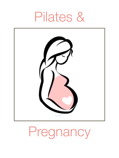# Pilates &



# Pregnancy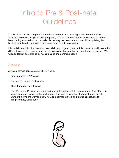# Intro to Pre & Post-natal **Guidelines**

This booklet has been prepared for students and or clients wanting to understand how to approach exercise during and post pregnancy. It's full of information to remind you of content learnt during a workshop or course but is certainly not complete and we will be updating this booklet from time to time with more useful or up to date information.

It is well documented that exercise is good during pregnancy and in this booklet we will look at the different stages of pregnancy and the physiological changes that happen during pregnancy. We will also look at potential risks, warning signs and contraindication.

### Stages:

A typical term is approximately 38-40 weeks.

- First Trimester: 0-12 weeks
- Second Trimester: 13-26 weeks
- Third Trimester: 27-40 weeks
- Post Partum or Puerperium: happens immediately after birth to approximately 6 weeks. This varies from one woman to the next and is influenced by whether she breast feeds or not. During this time the woman body, including hormone levels and uterus size returns to pre-pregnancy conditions.

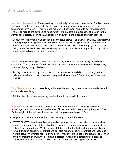- **Lungs and Respiration:** The respiratory rate naturally increases in pregnancy. The Diaphragm is elevated due to the changes in the rib cage placement, which may increase oxygen consumption by 15-20%. This increase makes the body work harder to deliver appropriate levels of oxygen to the developing fetus, which in turn alters the availability of oxygen to the woman for exercise, resulting in a decrease in endurance and a sense of breathlessness.
	- Because the diaphragm has less room as the fetus grows as a STOTT PILATES instructor we can help by practicing the STOTT PILATES breath pattern using imagery in a 3 dimensional way such a balloon inside the ribcage, the ribs being like gills of a fish or jelly fish etc. or by using tactile feedback like a flex band wrapped around the ribs or using mini stability balls to encourage the breath in a particular direction.
- **Joints:** Hormonal changes contribute to joint laxity which can result in injury or weakness of soft tissue. The ligaments of the lower back and sacral area are most effected. The primary hormone of pregnancy is Relaxin.
	- As they have less stability of all joints, you have to work on stability not challenging their balance. You have to work them out safely and within normal ROM as they will have fake flexibility.
- **Body Temperature:** Avoid exercising in hot weather and pay careful attention to adequate fluid intake while exercising.
	- Ask the client how they are feeling, remind them to have a drink of water.
- **• Incontinence:** 64% of woman develop incontinence symptoms. This is a significant percentage. A woman may reduce her risk of incontinence by strengthening the pelvic floor. It's the weight of the baby on the bladder that compromises the pelvic floor.
	- **-** Kegal exercises are very effective to help remedy or retard the issue.
	- **-** STOTT PILATES-based exercises emphasise the importance of the pelvic floor as well as encourage engagement of the pelvic floor. However in pregnancy we want to modulate the pelvic floor contractions. What I mean with this is that not only does the pregnant client need to work through concentric contractions but also mindful eccentric contractions (eccentric work is actually very important in giving birth). Imagery I like to use is the elevator or jelly fish and I incorporate this with the breathing exercises. Sitting on a stability ball is great or stability cushion as it has a trampoline like quality to it and this is great for the PF.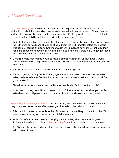# *Additional Conditions*:

- **Diastasis Recti (DR):** The sheath of connective tissue joining the two sides of the rectus abdominus, called the 'linea alba', can separate due to the increased stretch of the abdominal wall and the hormonal changes during pregnancy this effectively weakens the rectus abdominus & they loose the stability that the TA provides to the lumbo-pelvic area.
	- Typically the separation will occur in the later stage of pregnancy but can actually occur from the 12th week onwards and should be checked from the 2nd Trimester before each session. This can be checked by placing two fingers above the navel and having the client raise their head and engage their abdominals. A two finger gap is fine, but if there is a 3 finger gap, send them to the doctor. Then check below navel.
	- Contraindicated movements would be flexion, extension, rotation (Oblique Load). Open kinetic chain with both legs elevated and unsupported. Overhead movements with high load resistance.
	- It is best to work in a neutral position, focusing on TA engagement.
	- Focus on getting healthy fascia TA engagement with internal oblique in supine neutral or side-lying is excellent for fascial stimulation. Use lots of imagery, no harsh cues that will fire up global system!
	- Diane Lee has a book you can read on Diastasis recti called 'split down the middle'
	- It can heal, but they can still function even if it didn't heal recent studies show you can flex, extend etc. but I still prefer to stay on the side of caution and assess each individual.
- **• Supine Hypotensive Syndrome:** A condition where, when in the supine position, the uterus may compress the vena cava effecting oxygen flow to both the baby and mother.
	- **-** This condition can occur as early as the 12th week but is more likely to occur from the 20th week onwards throughout the second and third trimesters.
	- **-** While it's perfectly safe to do exercises lying on both sides, when there is any sign of lightheadedness have the client *rest on the left side* to minimise pressure on the vena cava.
	- **-** Tip: Try keep the shoulders higher than hips when supine. Use seated, kneeling, quadruped or side-lying positions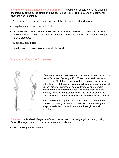- **• Symphysis Pubis Diastasis or Dysfunction:** The pubis can separate or slide affecting the integrity of the pelvic girdle and the sacro-iliac joints. This is due to the hormonal changes and joint laxity.
	- **-** Avoid large ROM stretches and actions of the abductors and adductors.
	- **-** Keep levers short and do small ROM
	- **-** In some cases sitting compromises the pubis. It may be best to sit elevated or on a stability ball so there is no excessive pressure on the pubis or do four point kneeling to relieve pressure.
	- **-** suggest a pelvic belt
	- **-** avoid unilateral, balance or abd/adductor work.

## *Balance & Postural Changes*:



**•**Due to the normal weight gain and increased size of the womb a woman's center of gravity shifts. There is also an increase in breast size. All of these changes affect posture, especially the natural curves of the spine. Women will experience an increased lumbar lordosis, increased Thoracic kyphosis and rounded shoulders due to enlarged breast. These changes will most typically result in increased tension in the muscles and joints. The joints are effected significantly due to the hormonal changes.

**-** As seen by the image on the left depicting a typical Kyphotic Lordotic posture, you will have to work on strengthening the scapular stabilisers, thoracic erector spinae, glutes and hamstrings.

- **• Balance:** Lumbo-Pelvic Region is effected due to the normal weight gain and the growing fetus. The larger the womb the more balance is challenged.
	- **-** Don't challenge their balance!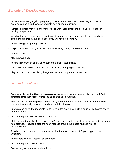- Less maternal weight gain pregnancy is not a time to exercise to lose weight, however, exercise can help limit excessive weight gain during pregnancy
- Increased fitness may help the mother cope with labor better and get back into shape more quickly postpartum
- Valuable for the prevention of gestational diabetes the more lean muscle mass you have before the pregnancy the less chance you will have of getting it.
- Assists in regulating fatigue levels
- Helps to maintain or slightly increase muscle tone, strength and endurance
- Improves posture
- May improve sleep
- Assists in prevention of low back pain and urinary incontinence
- Decreases risk of blood clots, varicose veins, leg cramping and swelling
- May help improve mood, body image and reduce postpartum depression

### *Exercise Guidelines*:

- **Pregnancy is not the time to begin a new exercise program** no exercise then until 2nd trimester other than just very mild, basic exercises i.e. walking.
- Provided the pregnancy progresses normally, the mother can exercise until discomfort forces her to reduce activity, which is usually around the 6th month
- Exercise can be mid to moderate up to 30 minutes every day, build gradually but some easily do 50 minutes.
- Ensure adequate rest between each workout.
- Maternal heart rate should not exceed 140 beats per minute should stay below as it can create fetal distress. Regular pilates the heart rate sits around 120 beats which is why its recommended.
- Avoid exercise in supine position after the first trimester incase of Supine Hypotensive Syndrome.
- Avoid exercise in hot weather or conditions
- Ensure adequate foods and fluids
- Perform a good warm-up and cool-down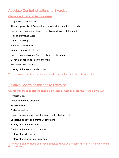# Absolute Contraindications to Exercise

#### **Clients should not exercise if they have:**

- Diagnosed heart disease
- Thrombophlebitis inflammation of a vein with formation of blood clot
- Recent pulmonary embolism artery blocked/blood clot formed
- Risk of premature labor
- Uterine bleeding
- Ruptured membranes
- Intrauterine growth retardation
- Severe isoimmunization (mom is allergic to the fetus)
- Sever hypertensions risk to the mom
- Suspected fetal distress
- History of three or more abortions

\*\*If they do exercise they can either cause damage or terminate the baby or mother

# Relative Contraindications to Exercise

**Clients with these conditions should only exercise with prior approval from a physician** 

- Hypertension
- Anaemia or blood disorders
- Thyroid disease
- Diabetes melitus
- Breech presentation in third trimester buttocks/feet first
- Excessive obesity or extreme underweight
- History of sedentary lifestyle
- Cardiac arrhythmia or palpitations
- History of sudden labor
- History of fetal growth retardations

\*\* They are high risk clients and should absolutely have written permission, if you're not confident don't see them!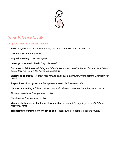

# When to Cease Activity:

**Stop and refer or Asses and chance:** 

- **Pain** *Stop exercise and try something else, if it didn't work end the workout*
- **Uterine contractions** *Stop*
- **Vaginal bleeding** *Stop Hospital*
- **Leakage of amniotic fluid**  *Stop Hospital*
- **Dizziness or faintness** *did they eat? If not have a snack. Advise them to have a snack 30min before training. Or is it too hot an environment?*
- **• Shortness of breath** *let them recover and don't cue a particular breath pattern. Just let them breath!*
- **• Palpitations of tachycardia** *Racing heart asses, let it settle or refer*
- **• Nausea or vomiting** *This is normal in 1st and 3rd so accomodate the schedule around it*
- **• Pins and needles** *Change their position*
- **• Numbness** *Change their position*
- **• Visual disturbances or feeling of disorientation** *Have a juice (apple juice) and let them recover or refer.*
- **• Temperature extremes of very hot or cold** *asses and let it settle if it continues refer*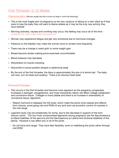# *First Trimester*: 0-12 Weeks

#### **Characteristics:** *(We are usually the first to know so keep in mind the following)*

- This is the most fragile part of pregnancy so be very cautious of taking on a new client as if they were to lose the baby they will want to blame pilates as it may be the only new activity they have started!
- Morning sickness, nausea and vomiting may occur, this feeling may occur all of the time *schedule the client when they feel least sick*
- Woman may experience fatigue and get very emotional due to hormonal changes
- Pressure on the bladder may make the woman have to urinate more frequently
- There may be a change in waist girth or some weight gain
- Breast become tender making prone exercises uncomfortable
- Blood pressure may decrease
- Dehydration & muscle cramping
- Discomfort in prone position (breast or abdominal area)
- By the end of the first trimester, the fetus is approximately the size of a tennis ball. The baby can kick, turn its head and swallow. There is an obvious heart beat.

#### **Hormonal Changes:**

- This occurs in the first trimester and become more apparent as the pregnancy progresses. Increases in estrogen, progesterone, and most importantly relaxin will effect collage metabolism and connective tissue. Collagen is more pliable and there is an increase in extensibility of connective tissue, ligaments.
	- Relaxin hormone is released into the body, which make the joints more relaxed and affects form closure, avoid going into end ROM of any joint and cue eccentric control of muscles in the mid-range
- Ligament laxity may be problematic for some, due to the decrease in support of the form closure 'joints'. The two most compromised ligaments during pregnancy are the Sacrotuberous (a lateral stabiliser of the sacrum) and the Sacrospinous (a Lateral and torsional stabiliser of the pelvis). However it can affect any or all of the joints.
	- Do not force end range! They have fake flexibility, work on stabilising the joints rather through mid ROM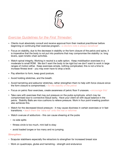

# *Exercise Guidelines for the First Trimester*:

- Clients must absolutely consult and receive approval from their medical practitioner before beginning or continuing their exercise program. - *a doctors note is always beneficial!*
- Focus on stability, due to the decrease in stability or the form closure of the pelvis and spine, it is imperative that the body is not put into positions that may compromise the stability i.e. long levers, open kinetic chain activities.
- Watch spinal integrity. Working in neutral is a safe option. Keep mobilisation exercises in a moderate to small ROM. We don't want the body to be rigid but we don't want to work in large ranges of motion either. Keep exercises simple, nothing complicated, this is not a time to increase fitness level - you may even have to drop a level.
- Pay attention to form, keep good posture.
- Avoid holding stretches, and the breath.
- Avoid hamstring and adductor stretches, rather strengthen them to help with force closure since the form closure is compromised. - *for the stability of the pelvis!*
- Focus on pelvic floor exercises, create awareness of pelvic floor if unaware. *encourage this!*
- Take care with exercises that may put pressure on the pubis symphysis, which may be compromised due to connective tissue laxity. Have your client sit with equal balance in the pelvis. Stability Balls are nice cushions to relieve pressure. Work in four point kneeling position also achieves this.
- Watch for the decreased blood pressure it may cause dizziness in certain exercises or in fast transitions. - *teach them the 'nana roll' onto the mat or reformer.*
- Watch overuse of adductors this can cause shearing at the pubis
	- no side splits
	- fitness circle is too much, mini ball is okay
	- avoid loaded lunges or too many and no jumping.

#### *Strengthen:*

- Scapular stabilisers especially the retractors to strengthen for increased breast size
- Work on quadriceps, glutes and hamstring strength and endurance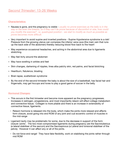#### **Characteristics:**

- Nausea is gone, and the pregnancy is visible *usually no prone exercises as the belly is in the way or the even the breasts, so if they can't lie prone because of discomfort or size, how could you modify the exercise? i.e. quadruped position - we start to modify as much as possible as prone becomes more difficult.*
- Very important to avoid supine and inverted positions Supine Hypotensive syndrome is a risk! Pressure from the growing uterus can compress the inferior vena cave (the main vein that runs up the back side of the abdomen) thereby reducing blood flow back to the heart!
- May experience occasional headaches, and aching in the abdominal area due to ligaments stretching.
- May feel itchy around the abdomen
- May have swelling in ankles and feet
- Skin changes, darkening of nipples, linea alba patchy skin, red palms, and facial blotching
- Heartburn, flatulence, bloating
- Brain lapse, scatterbrain syndrome
- By the end of the second trimester the baby is about the size of a basketball, has facial hair and fingernails, may get hiccups and loves to play a good game of soccer in the belly.

#### **Hormonal Changes:**

- This occurs in the first trimester and become more apparent as the pregnancy progresses. Increases in estrogen, progesterone, and most importantly relaxin will effect collage metabolism and connective tissue. Collagen is more pliable and there is an increase in extensibility of connective tissue, ligaments.
	- Relaxin hormone is released into the body, which make the joints more relaxed and affects form closure, avoid going into end ROM of any joint and cue eccentric control of muscles in the mid-range
- Ligament laxity may be problematic for some, due to the decrease in support of the form closure 'joints'. The two most compromised ligaments during pregnancy are the Sacrotuberous (a lateral stabiliser of the sacrum) and the Sacrospinous (a Lateral and torsional stabiliser of the pelvis). However it can affect any or all of the joints.
	- Do not force end range! They have fake flexibility, work on stabilising the joints rather through mid ROM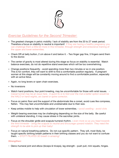

# *Exercise Guidelines for the Second Trimester*:

- The greatest changes in pelvic mobility / lack of stability are from the 20 to 27 week period. Therefore a focus on stability in neutral is important! If they are having a healthy pregnancy you can challenge them a little bit more in this trimester, through strength and endurance training of the upper and lower extremities.
- Check DR at belly button, 2 cm above it and below it. Two finger gap fine, 3 fingers send them to the doctor.
- The center of gravity is most altered during this stage so focus on stability is essential. Watch balance exercises, do not do repetitive stand exercises which will be too overwhelming.
- Change positions frequently avoid spending more than two minutes or so in one position. This is for comfort, they will want to shift to find a comfortable position regularly. A pregnant woman at this stage will be constantly moving around to find a comfortable position, especially with an active fetus.
- Again, no long levers or open chain exercises.
- No inversions
- Watch hand positions, four point kneeling, may be uncomfortable for those with wrist issues. *Carpal tunnel may be an issue here. A quick fix is to fold over the mat a better option would be the HALO or hand wights, arc barrel or spine corrector..*
- Focus on pelvic floor and the support of the abdominals like a corset, avoid cues like compress, flatten. This may feel uncomfortable and unobtainable due to their size.
- Keep ankles mobile to help with circulation of lower extremities. *avoid swelling avoid clots*
- Weight-bearing exercises may be challenging depending on the size of the belly. Be careful with unilateral standing, it may cause stress in the sacroiliac joints.
- Focus on the shoulder girdle and scapula humeral rhythm. *even more so as you head towards the third trimester - bring the scapula to neutral and encourage upward rotation. They need the strength to be able to pick up their baby!*
- Focus on natural breathing patterns. Do not cue specific pattern. They will, most likely, be taught specific birthing breath patterns in their birthing classes and you do not want to confuse them. - *STOTT PILATES 3D breath is amazing!*

#### *Strengthen:*

- Gleno-humeral joint and elbow (biceps & triceps), leg strength - push pull, mini squats, hinges.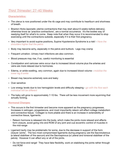# *Third Trimester*: 27-40 Weeks

#### **Characteristics:**

- The uterus is now positioned under the rib cage and may contribute to heartburn and shortness of breath.
- Braxton Hicks (sporadic uterine contractions that may start about 6 weeks before delivery), otherwise know as 'practice contractions', are a normal occurrence. It's the bodies way of readying itself for what's to come. Keep note that when they occur it is recommended to stop exercising until the contractions subside, especially if it is their first pregnancy.
- Very important to avoid supine positions, Supine Hypotensive Syndrome is a risk! *Have the shoulders higher that the pelvis*
- Body may become achy, especially in the pelvis and buttock. Legs may cramp
- Frequent urination. Urinary tract infections are also common.
- Blood pressure may rise, if so, careful monitoring is essential
- Constipation and varicose veins occur due to increased blood volume plus the arteries and veins are more relaxed due to hormones.
- Edema, or ankle swelling, very common, again due to increased blood volume *mobilise the lower leg & ankle*
- Breast may become extremely sore and leaky
- Over sensitive
- Low energy levels due to low hemoglobin levels and difficulty sleeping *go with the flow each individual will be different*
- The baby will grow to approximately 7-10 lbs. There will be less movement more squirming that actually kicking.

#### **Hormonal Changes:**

- This occurs in the first trimester and become more apparent as the pregnancy progresses. Increases in estrogen, progesterone, and most importantly relaxin will effect collage metabolism and connective tissue. Collagen is more pliable and there is an increase in extensibility of connective tissue, ligaments.
	- Relaxin hormone is released into the body, which make the joints more relaxed and affects form closure, avoid going into end ROM of any joint and cue eccentric control of muscles in the mid-range
- Ligament laxity may be problematic for some, due to the decrease in support of the form closure 'joints'. The two most compromised ligaments during pregnancy are the Sacrotuberous (a lateral stabiliser of the sacrum) and the Sacrospinous (a Lateral and torsional stabiliser of the pelvis). However it can affect any or all of the joints.
	- Do not force end range! They have fake flexibility, work on stabilising the joints rather through mid ROM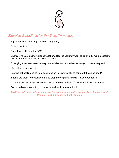

# *Exercise Guidelines for the Third Trimester*:

- Again, continue to change positions frequently.
- Slow transitions
- Short levers still, shorter ROM
- Energy levels are changing (either a lot or a little) so you may want to do two 30 minute sessions per week rather than one 50 minute session.
- Side-lying exercises are extremely comfortable and advisable. change positions frequently
- Use pillow to support belly
- Four point kneeling helps to release tension allows weight to come off the spine and PF
- Squats are great for circulation and to prepare the pelvis for birth also good for PF
- Continue with ankle and foot exercises to increase mobility of ankles and increase circulation
- Focus on breath to control movements and aid in stress reduction.

*Lastly for all stages of pregnancy be the encouraging instructor and keep the work fun! Bring joy to the process as best you can.*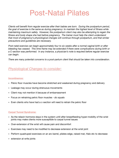# Post-Natal Pilates

*Clients will benefit from regular exercise after their babies are born. During the postpartum period, the goal of exercise is the same as during pregnancy: to maintain the highest level of fitness while maintaining maximum safety. However, the postpartum client may also be attempting to regain the fitness and body shape she had before pregnancy. The trainer must help the client understand that most of pregnancy's physiological changes will continue through postpartum, and that similar precautions and guidelines are necessary.* 

*Post-natal exercise can begin approximately four to six weeks after a normal vaginal birth or after bleeding has ceased. This time frame may be extended if there were complications during birth or a C-section was performed. In any instance, a physician's note is required before regular exercise can begin.* 

*There are many potential concerns to a post-partum client that should be taken into consideration.* 

# *Physiological Changes to consider:*

#### **Incontinence:**

- Pelvic floor muscles have become stretched and weakened during pregnancy and delivery
- Leakage may occur during strenuous movements
- Client may not mention it because of embarrassment
- Focus on retraining pelvic floor muscles *do squats*
- Even clients who have had a c-section will need to retrain the pelvic floor

#### **Carpal Tunnel Syndrome:**

- As the relaxin hormone stays in the system until after breastfeeding hyper-mobility of the wrist joints may make clients more susceptible to carpal tunnel issues
- Over-extension of the wrist will cause pain and discomfort
- Exercises may need to be modified to decrease extension at the wrist joint
- Perform quadruped exercises on an arc barrel, pilates edge, raised mat, Halo etc to decrease
- extension at writs joints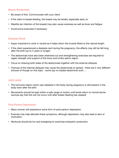#### **Breast Tenderness:**

- Be aware of this. Communicate with your client
- If the client is breast-feeding, the breast may be tender, especially early on
- Mastitis (an infection of the breast) may also cause soreness as well as fever and fatigue
- Avoid prone exercises if necessary.

#### **Diastasis Recti:**

- Super important to work in neutral as it helps return the muscle fibres to the natural length.
- If the client experienced a diastasis recti during the pregnancy, the effects may still be felt long after the birth (up to 2 years or longer)
- The abdominals have also been stretched out and strengthening exercises are required to regain strength and support of the torso and lumbo-pelvic region
- Focus on drawing both sides of the abdominals together with the external obliques
- Overuse of the internal obliques may cause the abdominals to spread there are 2 very different schools of though on this topic - some say no loaded abdominal work …

#### **Joint Laxity:**

- The hormone relaxin which was released in the body during pregnancy is still present in the body even after the birth
- Movements should be kept within a safe range of motion until levels return to normal (some sources say that this will not occur until after breast-feeding has ceased)

#### **Post-Partum Depression:**

- Many women will experience some form of post-partum depression
- Exercise may help alleviate these symptoms, although depression may also lead to lack of motivation.
- Workouts should be fun and energising to maximise endorphin production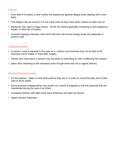#### **Fatigue**

- Even after 6-8 weeks, a new mother will experience general fatigue when dealing with a new baby.
- This fatigue may be worse if it is not a first child as they have other children to take care of.
- Workouts may need to begin slowly 20-30 min before gradually increasing to pre-pregnancy length, or take lots of breaks.
- Constant dialogue between client and instructor will ensure energy levels are adequate to perform well.

#### **C-Section Issues:**

- A doctor's note is required in the case of a c-section and exercise may not be able to be resumed until 8 weeks or more after surgery
- Clients who have had a c-section may be afraid of exercising for fear of affecting the incision
- pelvic floor retraining is still necessary even though there was not a vaginal delivery

#### **Residual Postural Issues:**

- Fix the posture keep in mind what posture they are in in order to nurse the baby and to take care of all its needs.
- Some postural misalignments may remain as a result of pregnancy and the postures that are maintained during the care of an infant.
- Increased lordosis with tight lower back extensors and tight hip flexors.
- Upper thoracic Kyphosis.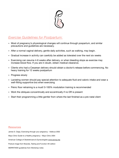

# *Exercise Guidelines for Postpartum*:

- Most of pregnancy's physiological changes will continue through pospartum, and similar precautions and guidelines are necessary.
- After a normal vaginal delivery, gentle daily activities, such as walking, may begin.
- Gradual increase in activity can carefully be added as tolerated over the next six weeks
- Exercising can resume 4-6 weeks after delivery, or when bleeding stops as exercise may increase blood flow. If you are in doubt, obtain medical clearance.
- Clients who had a Cesarean delivery should obtain a doctor's release before commencing. No heavy training for 12 weeks postpartum
- Progress slowly
- Lactating women should pay special attention to adequate fluid and caloric intake and wear a well-fitting supportive bra when exercising
- Pelvic floor retraining is a must! 0-100% modulation training is recommended
- Work the obliques concentrically and eccentrically if no DR is present
- Start their programming a little gentler from where the last finished as a pre-natal client

#### **Resources**

James S. Clapp, Exercising through your pregnancy - Addicus 2002 Mayo Clinic Guide to a Healthy pregnancy - Mayo Clinic 2004 American College of Obstretricians & Gynecologists [www.acocg.org](http://www.acocg.org) Posture image from Muscles, Testing and Function 4th edition MERRITHEW guidelines from Workshop notes